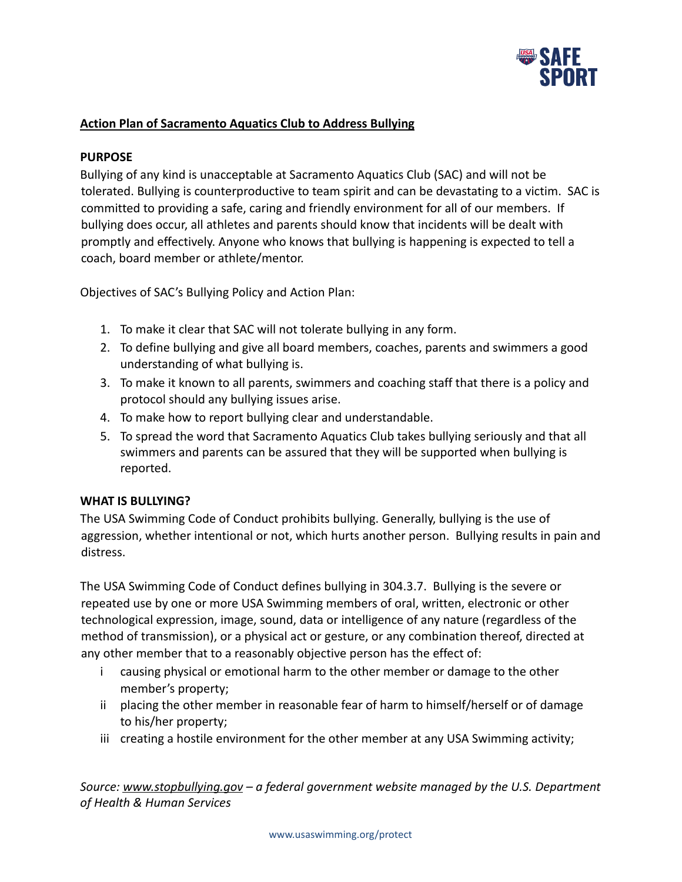

## **Action Plan of Sacramento Aquatics Club to Address Bullying**

#### **PURPOSE**

Bullying of any kind is unacceptable at Sacramento Aquatics Club (SAC) and will not be tolerated. Bullying is counterproductive to team spirit and can be devastating to a victim. SAC is committed to providing a safe, caring and friendly environment for all of our members. If bullying does occur, all athletes and parents should know that incidents will be dealt with promptly and effectively. Anyone who knows that bullying is happening is expected to tell a coach, board member or athlete/mentor.

Objectives of SAC's Bullying Policy and Action Plan:

- 1. To make it clear that SAC will not tolerate bullying in any form.
- 2. To define bullying and give all board members, coaches, parents and swimmers a good understanding of what bullying is.
- 3. To make it known to all parents, swimmers and coaching staff that there is a policy and protocol should any bullying issues arise.
- 4. To make how to report bullying clear and understandable.
- 5. To spread the word that Sacramento Aquatics Club takes bullying seriously and that all swimmers and parents can be assured that they will be supported when bullying is reported.

#### **WHAT IS BULLYING?**

The USA Swimming Code of Conduct prohibits bullying. Generally, bullying is the use of aggression, whether intentional or not, which hurts another person. Bullying results in pain and distress.

The USA Swimming Code of Conduct defines bullying in 304.3.7. Bullying is the severe or repeated use by one or more USA Swimming members of oral, written, electronic or other technological expression, image, sound, data or intelligence of any nature (regardless of the method of transmission), or a physical act or gesture, or any combination thereof, directed at any other member that to a reasonably objective person has the effect of:

- i causing physical or emotional harm to the other member or damage to the other member's property;
- ii placing the other member in reasonable fear of harm to himself/herself or of damage to his/her property;
- iii creating a hostile environment for the other member at any USA Swimming activity;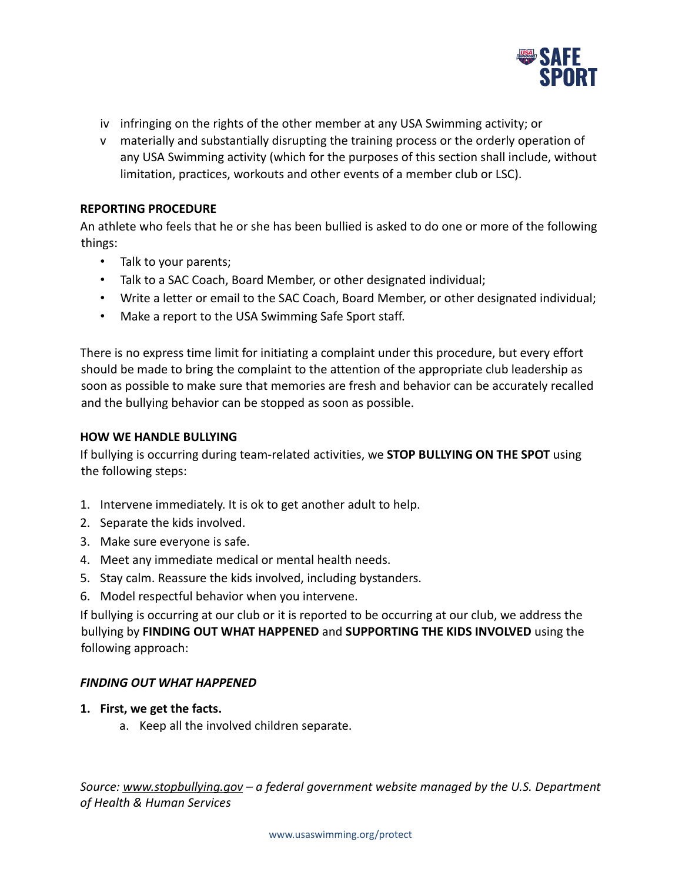

- iv infringing on the rights of the other member at any USA Swimming activity; or
- v materially and substantially disrupting the training process or the orderly operation of any USA Swimming activity (which for the purposes of this section shall include, without limitation, practices, workouts and other events of a member club or LSC).

#### **REPORTING PROCEDURE**

An athlete who feels that he or she has been bullied is asked to do one or more of the following things:

- Talk to your parents;
- Talk to a SAC Coach, Board Member, or other designated individual;
- Write a letter or email to the SAC Coach, Board Member, or other designated individual;
- Make a report to the USA Swimming Safe Sport staff.

There is no express time limit for initiating a complaint under this procedure, but every effort should be made to bring the complaint to the attention of the appropriate club leadership as soon as possible to make sure that memories are fresh and behavior can be accurately recalled and the bullying behavior can be stopped as soon as possible.

#### **HOW WE HANDLE BULLYING**

If bullying is occurring during team-related activities, we **STOP BULLYING ON THE SPOT** using the following steps:

- 1. Intervene immediately. It is ok to get another adult to help.
- 2. Separate the kids involved.
- 3. Make sure everyone is safe.
- 4. Meet any immediate medical or mental health needs.
- 5. Stay calm. Reassure the kids involved, including bystanders.
- 6. Model respectful behavior when you intervene.

If bullying is occurring at our club or it is reported to be occurring at our club, we address the bullying by **FINDING OUT WHAT HAPPENED** and **SUPPORTING THE KIDS INVOLVED** using the following approach:

### *FINDING OUT WHAT HAPPENED*

- **1. First, we get the facts.**
	- a. Keep all the involved children separate.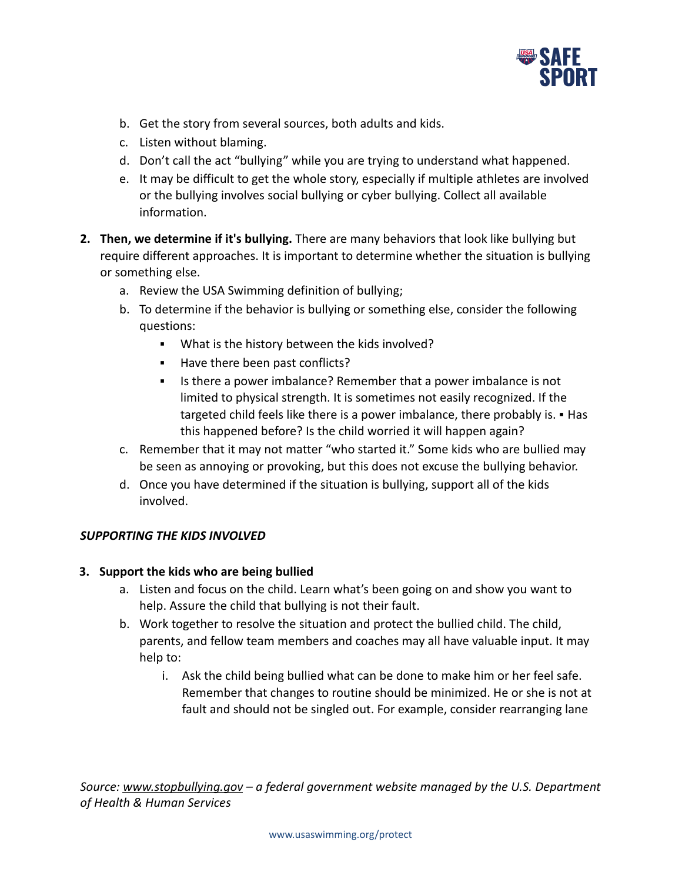

- b. Get the story from several sources, both adults and kids.
- c. Listen without blaming.
- d. Don't call the act "bullying" while you are trying to understand what happened.
- e. It may be difficult to get the whole story, especially if multiple athletes are involved or the bullying involves [social bullying](http://www.stopbullying.gov/what-is-bullying/definition/index.html#social) or cyber [bullying.](http://www.stopbullying.gov/cyberbullying/index.html) Collect all available information.
- **2. Then, we determine if it's bullying.** There are many [behaviors that look like bullying](http://www.stopbullying.gov/what-is-bullying/related-topics/index.html) but require different approaches. It is important to determine whether the situation is bullying or something else.
	- a. Review the USA Swimming definition of bullying;
	- b. To determine if the behavior is bullying or something else, consider the following questions:
		- What is the history between the kids involved?
		- Have there been past conflicts?
		- Is there a power imbalance? Remember that a power imbalance is not limited to physical strength. It is sometimes not easily recognized. If the targeted child feels like there is a power imbalance, there probably is. ▪ Has this happened before? Is the child worried it will happen again?
	- c. Remember that it may not matter "who started it." Some kids who are bullied may be seen as annoying or provoking, but this does not excuse the bullying behavior.
	- d. Once you have determined if the situation is bullying, support all of the kids involved.

# *SUPPORTING THE KIDS INVOLVED*

### **3. Support the kids who are being bullied**

- a. Listen and focus on the child. Learn what's been going on and show you want to help. Assure the child that bullying is not their fault.
- b. Work together to resolve the situation and protect the bullied child. The child, parents, and fellow team members and coaches may all have valuable input. It may help to:
	- i. Ask the child being bullied what can be done to make him or her feel safe. Remember that changes to routine should be minimized. He or she is not at fault and should not be singled out. For example, consider rearranging lane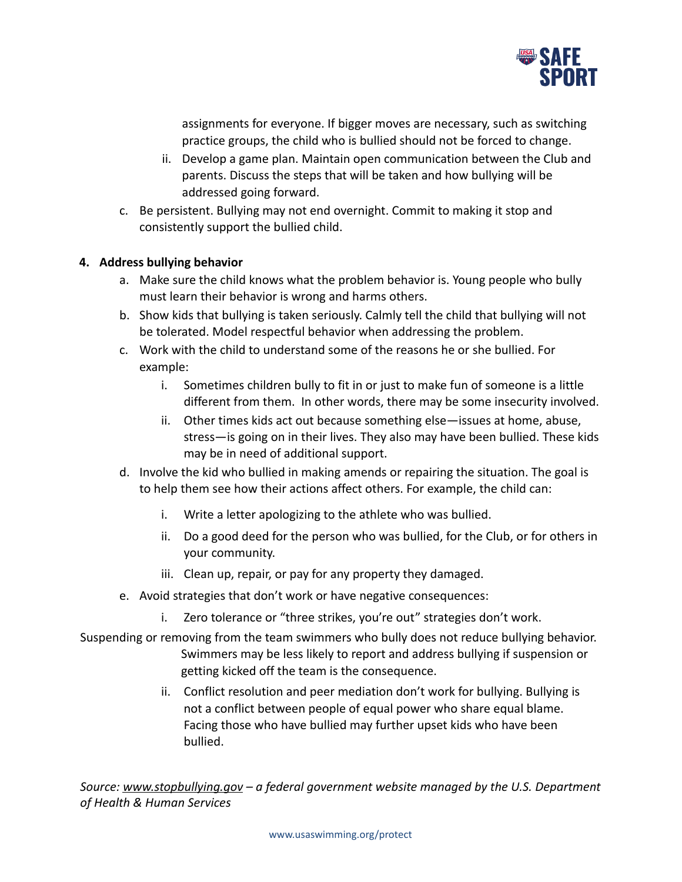

assignments for everyone. If bigger moves are necessary, such as switching practice groups, the child who is bullied should not be forced to change.

- ii. Develop a game plan. Maintain open communication between the Club and parents. Discuss the steps that will be taken and how bullying will be addressed going forward.
- c. Be persistent. Bullying may not end overnight. Commit to making it stop and consistently support the bullied child.

## **4. Address bullying behavior**

- a. Make sure the child knows what the problem behavior is. Young people who bully must learn their behavior is wrong and harms others.
- b. Show kids that bullying is taken seriously. Calmly tell the child that bullying will not be tolerated. Model respectful behavior when addressing the problem.
- c. Work with the child to understand some of the reasons he or she bullied. For example:
	- i. Sometimes children bully to fit in or just to make fun of someone is a little different from them. In other words, there may be some insecurity involved.
	- ii. Other times kids act out because something else—issues at home, abuse, stress—is going on in their lives. They also may have been bullied. These kids may be in need of additional support.
- d. Involve the kid who bullied in making amends or repairing the situation. The goal is to help them see how their actions affect others. For example, the child can:
	- i. Write a letter apologizing to the athlete who was bullied.
	- ii. Do a good deed for the person who was bullied, for the Club, or for others in your community.
	- iii. Clean up, repair, or pay for any property they damaged.
- e. Avoid strategies that don't work or have negative consequences:
	- i. Zero tolerance or "three strikes, you're out" strategies don't work.
- Suspending or removing from the team swimmers who bully does not reduce bullying behavior. Swimmers may be less likely to report and address bullying if suspension or getting kicked off the team is the consequence.
	- ii. Conflict resolution and peer mediation don't work for bullying. Bullying is not a conflict between people of equal power who share equal blame. Facing those who have bullied may further upset kids who have been bullied.